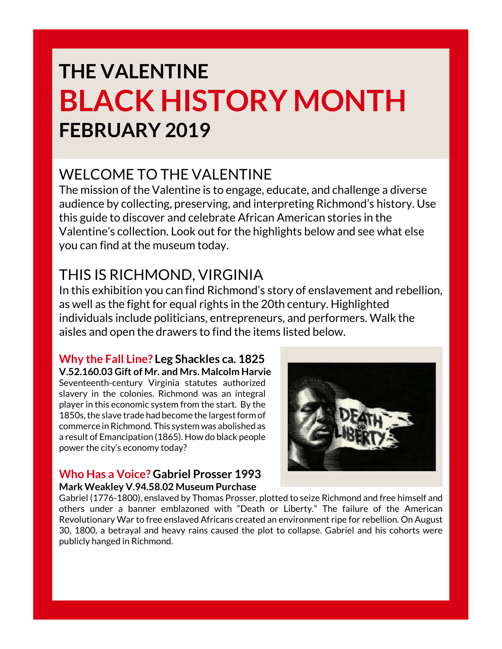# **THE VALENTINE BLACK HISTORY MONTH FEBRUARY 2019**

### WELCOME TO THE VALENTINE

The mission of the Valentine is to engage, educate, and challenge a diverse audience by collecting, preserving, and interpreting Richmond's history. Use this guide to discover and celebrate African American stories in the Valentine's collection. Look out for the highlights below and see what else you can find at the museum today.

## THIS IS RICHMOND, VIRGINIA

In this exhibition you can find Richmond's story of enslavement and rebellion, as well as the fight for equal rights in the 20th century. Highlighted individuals include politicians, entrepreneurs, and performers. Walk the aisles and open the drawers to find the items listed below.

### **Why the Fall Line? Leg Shackles ca. 1825**

**V.52.160.03 Gift of Mr. and Mrs. Malcolm Harvie** Seventeenth-century Virginia statutes authorized slavery in the colonies. Richmond was an integral player in this economic system from the start. By the 1850s, the slave trade had become the largest form of commerce in Richmond. This system was abolished as a result of Emancipation (1865). How do black people power the city's economy today?

#### **Who Has a Voice? Gabriel Prosser 1993 Mark Weakley V.94.58.02 Museum Purchase**

Gabriel (1776-1800), enslaved by Thomas Prosser, plotted to seize Richmond and free himself and others under a banner emblazoned with "Death or Liberty." The failure of the American Revolutionary War to free enslaved Africans created an environment ripe for rebellion. On August 30, 1800, a betrayal and heavy rains caused the plot to collapse. Gabriel and his cohorts were publicly hanged in Richmond.